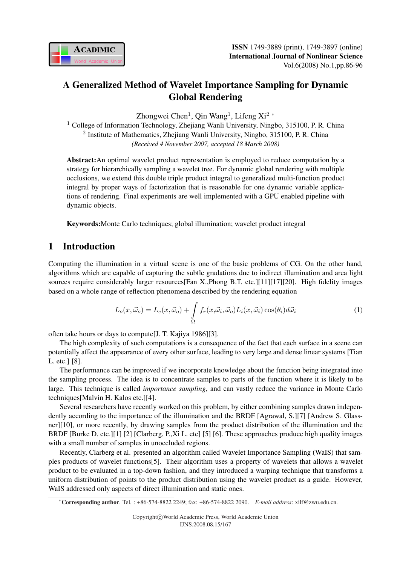

# A Generalized Method of Wavelet Importance Sampling for Dynamic Global Rendering

Zhongwei Chen<sup>1</sup>, Qin Wang<sup>1</sup>, Lifeng Xi<sup>2</sup> \*

<sup>1</sup> College of Information Technology, Zhejiang Wanli University, Ningbo, 315100, P. R. China <sup>2</sup> Institute of Mathematics, Zhejiang Wanli University, Ningbo, 315100, P.R. China *(Received 4 November 2007, accepted 18 March 2008)*

Abstract:An optimal wavelet product representation is employed to reduce computation by a strategy for hierarchically sampling a wavelet tree. For dynamic global rendering with multiple occlusions, we extend this double triple product integral to generalized multi-function product integral by proper ways of factorization that is reasonable for one dynamic variable applications of rendering. Final experiments are well implemented with a GPU enabled pipeline with dynamic objects.

Keywords:Monte Carlo techniques; global illumination; wavelet product integral

# 1 Introduction

Computing the illumination in a virtual scene is one of the basic problems of CG. On the other hand, algorithms which are capable of capturing the subtle gradations due to indirect illumination and area light sources require considerably larger resources[Fan X.,Phong B.T. etc.][11][17][20]. High fidelity images based on a whole range of reflection phenomena described by the rendering equation

$$
L_o(x, \vec{\omega}_o) = L_e(x, \vec{\omega}_o) + \int_{\Omega} f_r(x, \vec{\omega}_i, \vec{\omega}_o) L_i(x, \vec{\omega}_i) \cos(\theta_i) d\vec{\omega}_i
$$
 (1)

often take hours or days to compute[J. T. Kajiya 1986][3].

The high complexity of such computations is a consequence of the fact that each surface in a scene can potentially affect the appearance of every other surface, leading to very large and dense linear systems [Tian L. etc.] [8].

The performance can be improved if we incorporate knowledge about the function being integrated into the sampling process. The idea is to concentrate samples to parts of the function where it is likely to be large. This technique is called *importance sampling*, and can vastly reduce the variance in Monte Carlo techniques[Malvin H. Kalos etc.][4].

Several researchers have recently worked on this problem, by either combining samples drawn independently according to the importance of the illumination and the BRDF [Agrawal, S.][7] [Andrew S. Glassner][10], or more recently, by drawing samples from the product distribution of the illumination and the BRDF [Burke D. etc.][1] [2] [Clarberg, P.,Xi L. etc] [5] [6]. These approaches produce high quality images with a small number of samples in unoccluded regions.

Recently, Clarberg et al. presented an algorithm called Wavelet Importance Sampling (WaIS) that samples products of wavelet functions[5]. Their algorithm uses a property of wavelets that allows a wavelet product to be evaluated in a top-down fashion, and they introduced a warping technique that transforms a uniform distribution of points to the product distribution using the wavelet product as a guide. However, WaIS addressed only aspects of direct illumination and static ones.

<sup>∗</sup>Corresponding author. Tel. : +86-574-8822 2249; fax: +86-574-8822 2090. *E-mail address*: xilf@zwu.edu.cn.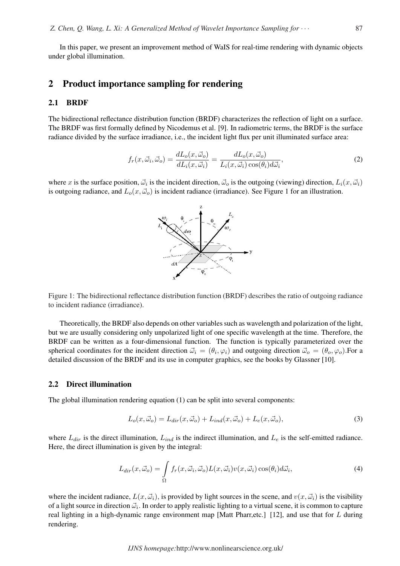In this paper, we present an improvement method of WaIS for real-time rendering with dynamic objects under global illumination.

## 2 Product importance sampling for rendering

### 2.1 BRDF

The bidirectional reflectance distribution function (BRDF) characterizes the reflection of light on a surface. The BRDF was first formally defined by Nicodemus et al. [9]. In radiometric terms, the BRDF is the surface radiance divided by the surface irradiance, i.e., the incident light flux per unit illuminated surface area:

$$
f_r(x, \vec{\omega}_i, \vec{\omega}_o) = \frac{dL_o(x, \vec{\omega}_o)}{dL_i(x, \vec{\omega}_i)} = \frac{dL_o(x, \vec{\omega}_o)}{L_i(x, \vec{\omega}_i) \cos(\theta_i) d\vec{\omega}_i},\tag{2}
$$

where x is the surface position,  $\vec{\omega}_i$  is the incident direction,  $\vec{\omega}_o$  is the outgoing (viewing) direction,  $L_i(x, \vec{\omega}_i)$ is outgoing radiance, and  $L_o(x, \vec{\omega}_o)$  is incident radiance (irradiance). See Figure 1 for an illustration.



Figure 1: The bidirectional reflectance distribution function (BRDF) describes the ratio of outgoing radiance to incident radiance (irradiance).

Theoretically, the BRDF also depends on other variables such as wavelength and polarization of the light, but we are usually considering only unpolarized light of one specific wavelength at the time. Therefore, the BRDF can be written as a four-dimensional function. The function is typically parameterized over the spherical coordinates for the incident direction  $\vec{\omega}_i = (\theta_i, \varphi_i)$  and outgoing direction  $\vec{\omega}_o = (\theta_o, \varphi_o)$ . For a detailed discussion of the BRDF and its use in computer graphics, see the books by Glassner [10].

#### 2.2 Direct illumination

The global illumination rendering equation (1) can be split into several components:

$$
L_o(x, \vec{\omega}_o) = L_{dir}(x, \vec{\omega}_o) + L_{ind}(x, \vec{\omega}_o) + L_e(x, \vec{\omega}_o), \tag{3}
$$

where  $L_{dir}$  is the direct illumination,  $L_{ind}$  is the indirect illumination, and  $L_e$  is the self-emitted radiance. Here, the direct illumination is given by the integral:

$$
L_{dir}(x, \vec{\omega}_o) = \int_{\Omega} f_r(x, \vec{\omega}_i, \vec{\omega}_o) L(x, \vec{\omega}_i) v(x, \vec{\omega}_i) \cos(\theta_i) d\vec{\omega}_i,
$$
\n(4)

where the incident radiance,  $L(x, \vec{\omega}_i)$ , is provided by light sources in the scene, and  $v(x, \vec{\omega}_i)$  is the visibility of a light source in direction  $\vec{\omega}_i$ . In order to apply realistic lighting to a virtual scene, it is common to capture real lighting in a high-dynamic range environment map [Matt Pharr,etc.] [12], and use that for L during rendering.

*IJNS homepage:*http://www.nonlinearscience.org.uk/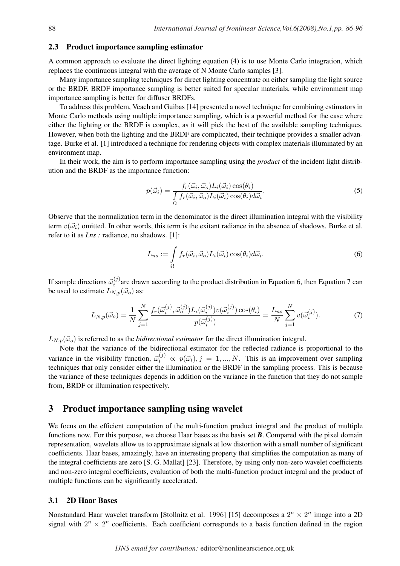### 2.3 Product importance sampling estimator

A common approach to evaluate the direct lighting equation (4) is to use Monte Carlo integration, which replaces the continuous integral with the average of N Monte Carlo samples [3].

Many importance sampling techniques for direct lighting concentrate on either sampling the light source or the BRDF. BRDF importance sampling is better suited for specular materials, while environment map importance sampling is better for diffuser BRDFs.

To address this problem, Veach and Guibas [14] presented a novel technique for combining estimators in Monte Carlo methods using multiple importance sampling, which is a powerful method for the case where either the lighting or the BRDF is complex, as it will pick the best of the available sampling techniques. However, when both the lighting and the BRDF are complicated, their technique provides a smaller advantage. Burke et al. [1] introduced a technique for rendering objects with complex materials illuminated by an environment map.

In their work, the aim is to perform importance sampling using the *product* of the incident light distribution and the BRDF as the importance function:

$$
p(\vec{\omega}_i) = \frac{f_r(\vec{\omega}_i, \vec{\omega}_o) L_i(\vec{\omega}_i) \cos(\theta_i)}{\int_{\Omega} f_r(\vec{\omega}_i, \vec{\omega}_o) L_i(\vec{\omega}_i) \cos(\theta_i) d\vec{\omega}_i}.
$$
\n(5)

Observe that the normalization term in the denominator is the direct illumination integral with the visibility term  $v(\vec{\omega}_i)$  omitted. In other words, this term is the exitant radiance in the absence of shadows. Burke et al. refer to it as *Lns :* radiance, no shadows. [1]:

$$
L_{ns} := \int_{\Omega} f_r(\vec{\omega}_i, \vec{\omega}_o) L_i(\vec{\omega}_i) \cos(\theta_i) d\vec{\omega}_i.
$$
 (6)

If sample directions  $\vec{\omega}_i^{(j)}$  $i^{(0)}$  are drawn according to the product distribution in Equation 6, then Equation 7 can be used to estimate  $L_{N,p}(\vec{\omega}_o)$  as:

$$
L_{N,p}(\vec{\omega}_o) = \frac{1}{N} \sum_{j=1}^N \frac{f_r(\vec{\omega}_i^{(j)}, \vec{\omega}_o^{(j)}) L_i(\vec{\omega}_i^{(j)}) v(\vec{\omega}_i^{(j)}) \cos(\theta_i)}{p(\vec{\omega}_i^{(j)})} = \frac{L_{ns}}{N} \sum_{j=1}^N v(\vec{\omega}_i^{(j)}).
$$
(7)

 $L_{N,p}(\vec{\omega}_o)$  is referred to as the *bidirectional estimator* for the direct illumination integral.

Note that the variance of the bidirectional estimator for the reflected radiance is proportional to the variance in the visibility function,  $\vec{\omega}_i^{(j)} \propto p(\vec{\omega}_i), j = 1, ..., N$ . This is an improvement over sampling techniques that only consider either the illumination or the BRDF in the sampling process. This is because the variance of these techniques depends in addition on the variance in the function that they do not sample from, BRDF or illumination respectively.

### 3 Product importance sampling using wavelet

We focus on the efficient computation of the multi-function product integral and the product of multiple functions now. For this purpose, we choose Haar bases as the basis set *B*. Compared with the pixel domain representation, wavelets allow us to approximate signals at low distortion with a small number of significant coefficients. Haar bases, amazingly, have an interesting property that simplifies the computation as many of the integral coefficients are zero [S. G. Mallat] [23]. Therefore, by using only non-zero wavelet coefficients and non-zero integral coefficients, evaluation of both the multi-function product integral and the product of multiple functions can be significantly accelerated.

#### 3.1 2D Haar Bases

Nonstandard Haar wavelet transform [Stollnitz et al. 1996] [15] decomposes a  $2^n \times 2^n$  image into a 2D signal with  $2^n \times 2^n$  coefficients. Each coefficient corresponds to a basis function defined in the region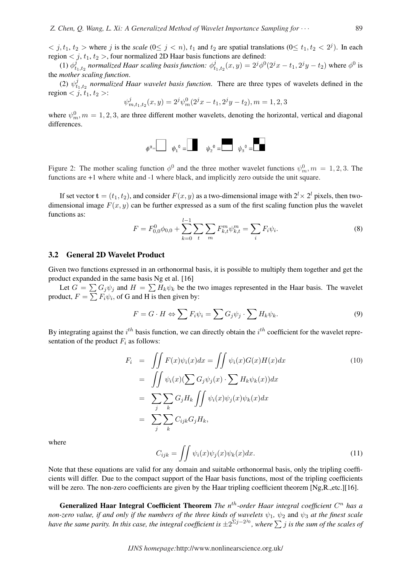$\langle j, t_1, t_2 \rangle$  where j is the *scale*  $(0 \le j \le n)$ ,  $t_1$  and  $t_2$  are spatial translations  $(0 \le t_1, t_2 \le 2^j)$ . In each region  $\langle j, t_1, t_2 \rangle$ , four normalized 2D Haar basis functions are defined:

 $(1)$   $\phi_t^j$  $\frac{\delta}{t_{1},t_{2}}$  normalized Haar scaling basis function:  $\phi_{t}^{j}$  $t_{t_1,t_2}(x,y) = 2^j \phi^0(2^j x - t_1, 2^j y - t_2)$  where  $\phi^0$  is the *mother scaling function*.

 $(2) \psi_t^j$  $t_{1, t_2}$  normalized Haar wavelet basis function. There are three types of wavelets defined in the region  $\langle j, t_1, t_2 \rangle$ :

$$
\psi_{m,t_1,t_2}^j(x,y) = 2^j \psi_m^0(2^j x - t_1, 2^j y - t_2), m = 1,2,3
$$

where  $\psi_m^0$ ,  $m = 1, 2, 3$ , are three different mother wavelets, denoting the horizontal, vertical and diagonal differences.

$$
\phi^0 = \begin{bmatrix} \psi_1^0 & \psi_2^0 & \psi_3^0 & \psi_3^0 & \psi_3^0 & \psi_3^0 & \psi_3^0 & \psi_3^0 & \psi_3^0 & \psi_3^0 & \psi_3^0 & \psi_3^0 & \psi_3^0 & \psi_3^0 & \psi_3^0 & \psi_3^0 & \psi_3^0 & \psi_3^0 & \psi_3^0 & \psi_3^0 & \psi_3^0 & \psi_3^0 & \psi_3^0 & \psi_3^0 & \psi_3^0 & \psi_3^0 & \psi_3^0 & \psi_3^0 & \psi_3^0 & \psi_3^0 & \psi_3^0 & \psi_3^0 & \psi_3^0 & \psi_3^0 & \psi_3^0 & \psi_3^0 & \psi_3^0 & \psi_3^0 & \psi_3^0 & \psi_3^0 & \psi_3^0 & \psi_3^0 & \psi_3^0 & \psi_3^0 & \psi_3^0 & \psi_3^0 & \psi_3^0 & \psi_3^0 & \psi_3^0 & \psi_3^0 & \psi_3^0 & \psi_3^0 & \psi_3^0 & \psi_3^0 & \psi_3^0 & \psi_3^0 & \psi_3^0 & \psi_3^0 & \psi_3^0 & \psi_3^0 & \psi_3^0 & \psi_3^0 & \psi_3^0 & \psi_3^0 & \psi_3^0 & \psi_3^0 & \psi_3^0 & \psi_3^0 & \psi_3^0 & \psi_3^0 & \psi_3^0 & \psi_3^0 & \psi_3^0 & \psi_3^0 & \psi_3^0 & \psi_3^0 & \psi_3^0 & \psi_3^0 & \psi_3^0 & \psi_3^0 & \psi_3^0 & \psi_3^0 & \psi_3^0 & \psi_3^0 & \psi_3^0 & \psi_3^0 & \psi_3^0 & \psi_3^0 & \psi_3^0 & \psi_3^0 & \psi_3^0 & \psi_3^0 & \psi_3^0 & \psi_3^0 & \psi_3^0 & \psi_3^0 & \psi_3^0 & \psi_3^0 & \psi_3^0 & \psi_3^0 & \psi_3^0 & \psi_3^0 & \psi_3^0 & \psi_3^0 & \psi_3^0 & \psi_3^0 & \psi_3^0 &
$$

Figure 2: The mother scaling function  $\phi^0$  and the three mother wavelet functions  $\psi^0_m$ ,  $m = 1, 2, 3$ . The functions are +1 where white and -1 where black, and implicitly zero outside the unit square.

If set vector  $\mathbf{t} = (t_1, t_2)$ , and consider  $F(x, y)$  as a two-dimensional image with  $2^l \times 2^l$  pixels, then twodimensional image  $F(x, y)$  can be further expressed as a sum of the first scaling function plus the wavelet functions as:

$$
F = F_{0,0}^{0} \phi_{0,0} + \sum_{k=0}^{l-1} \sum_{t} \sum_{m} F_{k,t}^{m} \psi_{k,t}^{m} = \sum_{i} F_{i} \psi_{i}.
$$
 (8)

### 3.2 General 2D Wavelet Product

Given two functions expressed in an orthonormal basis, it is possible to multiply them together and get the product expanded in the same basis Ng et al. [16]

Let  $G = \sum G_j \psi_j$  and  $H = \sum H_k \psi_k$  be the two images represented in the Haar basis. The wavelet Let  $G = \sum G_j \psi_j$  and  $H = \sum H_k \psi_k$  be the t<br>product,  $F = \sum F_i \psi_i$ , of G and H is then given by:

$$
F = G \cdot H \Leftrightarrow \sum F_i \psi_i = \sum G_j \psi_j \cdot \sum H_k \psi_k.
$$
\n(9)

By integrating against the  $i^{th}$  basis function, we can directly obtain the  $i^{th}$  coefficient for the wavelet representation of the product  $F_i$  as follows:

$$
F_i = \iint F(x)\psi_i(x)dx = \iint \psi_i(x)G(x)H(x)dx
$$
  
\n
$$
= \iint \psi_i(x)(\sum G_j\psi_j(x) \cdot \sum H_k\psi_k(x))dx
$$
  
\n
$$
= \sum_j \sum_k G_jH_k \iint \psi_i(x)\psi_j(x)\psi_k(x)dx
$$
  
\n
$$
= \sum_j \sum_k C_{ijk}G_jH_k,
$$
  
\n(10)

where

$$
C_{ijk} = \iint \psi_i(x)\psi_j(x)\psi_k(x)dx.
$$
 (11)

Note that these equations are valid for any domain and suitable orthonormal basis, only the tripling coefficients will differ. Due to the compact support of the Haar basis functions, most of the tripling coefficients will be zero. The non-zero coefficients are given by the Haar tripling coefficient theorem [Ng,R.,etc.][16].

Generalized Haar Integral Coefficient Theorem *The n<sup>th</sup>-order Haar integral coefficient*  $C<sup>n</sup>$  has a *non-zero value, if and only if the numbers of the three kinds of wavelets*  $\psi_1$ ,  $\psi_2$  and  $\psi_3$  *at the finest scale hon-zero value, if and only if the numbers of the intee kinds of wavelets*  $\varphi_1$ ,  $\varphi_2$  and  $\varphi_3$  *at the jinest scales of have the same parity. In this case, the integral coefficient is*  $\pm 2^{\sum j-2^{j_0}}$ , wh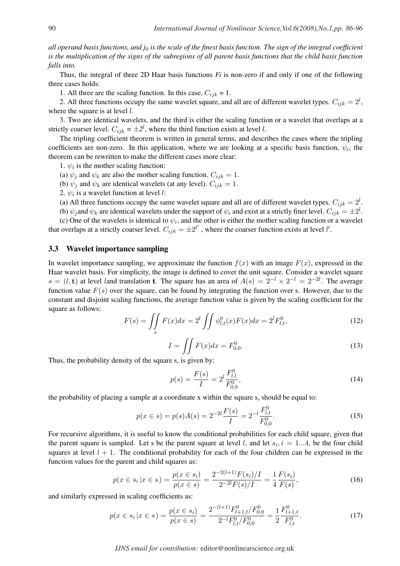*all operand basis functions, and j*<sup>0</sup> *is the scale of the finest basis function. The sign of the integral coefficient is the multiplication of the signs of the subregions of all parent basis functions that the child basis function falls into.*

Thus, the integral of three 2D Haar basis functions *Fi* is non-zero if and only if one of the following three cases holds:

1. All three are the scaling function. In this case,  $C_{ijk} = 1$ .

2. All three functions occupy the same wavelet square, and all are of different wavelet types.  $C_{ijk} = 2^l$ , where the square is at level  $l$ .

3. Two are identical wavelets, and the third is either the scaling function or a wavelet that overlaps at a strictly coarser level.  $C_{ijk} = \pm 2^l$ , where the third function exists at level *l*.

The tripling coefficient theorem is written in general terms, and describes the cases where the tripling coefficients are non-zero. In this application, where we are looking at a specific basis function,  $\psi_i$ , the theorem can be rewritten to make the different cases more clear:

1.  $\psi_i$  is the mother scaling function:

(a)  $\psi_j$  and  $\psi_k$  are also the mother scaling function.  $C_{ijk} = 1$ .

(b)  $\psi_j$  and  $\psi_k$  are identical wavelets (at any level).  $C_{ijk} = 1$ .

2.  $\psi_i$  is a wavelet function at level *l*:

(a) All three functions occupy the same wavelet square and all are of different wavelet types.  $C_{ijk} = 2^l$ .

(b)  $\psi_j$  and  $\psi_k$  are identical wavelets under the support of  $\psi_i$  and exist at a strictly finer level.  $C_{ijk} = \pm 2^l$ .

(c) One of the wavelets is identical to  $\psi_i$ , and the other is either the mother scaling function or a wavelet that overlaps at a strictly coarser level.  $C_{ijk} = \pm 2^{l'}$ , where the coarser function exists at level l'.

#### 3.3 Wavelet importance sampling

In wavelet importance sampling, we approximate the function  $f(x)$  with an image  $F(x)$ , expressed in the Haar wavelet basis. For simplicity, the image is defined to cover the unit square. Consider a wavelet square  $s = (l, t)$  at level land translation t. The square has an area of  $A(s) = 2^{-l} \times 2^{-l} = 2^{-2l}$ . The average function value  $F(s)$  over the square, can be found by integrating the function over s. However, due to the constant and disjoint scaling functions, the average function value is given by the scaling coefficient for the square as follows:  $\overline{a}$ 

$$
F(s) = \iint_{s} F(x)dx = 2^{l} \iint \phi_{l,t}^{0}(x)F(x)dx = 2^{l}F_{l,t}^{0},
$$
\n(12)

$$
I = \iint F(x)dx = F_{0,0}^{0}.
$$
 (13)

Thus, the probability density of the square s, is given by:

$$
p(s) = \frac{F(s)}{I} = 2^l \frac{F_{l,t}^0}{F_{0,0}^0},\tag{14}
$$

the probability of placing a sample at a coordinate x within the square s, should be equal to:

$$
p(x \in s) = p(s)A(s) = 2^{-2l} \frac{F(s)}{I} = 2^{-l} \frac{F_{l,t}^0}{F_{0,0}^0}.
$$
\n(15)

For recursive algorithms, it is useful to know the conditional probabilities for each child square, given that the parent square is sampled. Let s be the parent square at level l, and let  $s_i$ ,  $i = 1...4$ , be the four child squares at level  $l + 1$ . The conditional probability for each of the four children can be expressed in the function values for the parent and child squares as:

$$
p(x \in s_i | x \in s) = \frac{p(x \in s_i)}{p(x \in s)} = \frac{2^{-2(l+1)}F(s_i)/I}{2^{-2l}F(s)/I} = \frac{1}{4}\frac{F(s_i)}{F(s)},
$$
\n(16)

and similarly expressed in scaling coefficients as:

$$
p(x \in s_i \mid x \in s) = \frac{p(x \in s_i)}{p(x \in s)} = \frac{2^{-(l+1)} F_{l+1,t}^0 / F_{0,0}^0}{2^{-l} F_{l,t}^0 / F_{0,0}^0} = \frac{1}{2} \frac{F_{l+1,t}^0}{F_{l,t}^0}.
$$
 (17)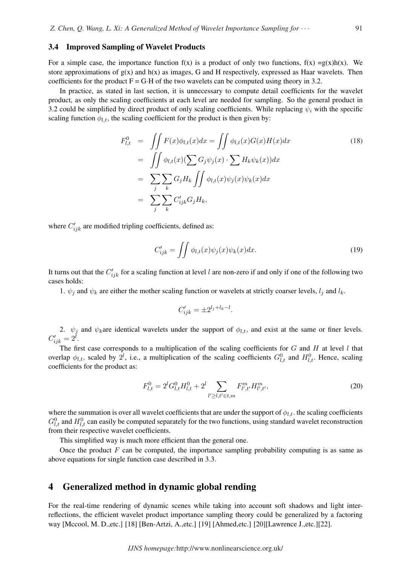### 3.4 Improved Sampling of Wavelet Products

For a simple case, the importance function  $f(x)$  is a product of only two functions,  $f(x) = g(x)h(x)$ . We store approximations of  $g(x)$  and  $h(x)$  as images, G and H respectively, expressed as Haar wavelets. Then coefficients for the product  $F = G \cdot H$  of the two wavelets can be computed using theory in 3.2.

In practice, as stated in last section, it is unnecessary to compute detail coefficients for the wavelet product, as only the scaling coefficients at each level are needed for sampling. So the general product in 3.2 could be simplified by direct product of only scaling coefficients. While replacing  $\psi_i$  with the specific scaling function  $\phi_{l,t}$ , the scaling coefficient for the product is then given by:

$$
F_{l,t}^{0} = \iint F(x)\phi_{l,t}(x)dx = \iint \phi_{l,t}(x)G(x)H(x)dx
$$
  
\n
$$
= \iint \phi_{l,t}(x)(\sum G_j\psi_j(x) \cdot \sum H_k\psi_k(x))dx
$$
  
\n
$$
= \sum_j \sum_k G_jH_k \iint \phi_{l,t}(x)\psi_j(x)\psi_k(x)dx
$$
  
\n
$$
= \sum_j \sum_k C'_{ijk}G_jH_k,
$$
  
\n(18)

where  $C'_{ijk}$  are modified tripling coefficients, defined as:

$$
C'_{ijk} = \iint \phi_{l,t}(x)\psi_j(x)\psi_k(x)dx.
$$
 (19)

It turns out that the  $C'_{ijk}$  for a scaling function at level l are non-zero if and only if one of the following two cases holds:

1.  $\psi_j$  and  $\psi_k$  are either the mother scaling function or wavelets at strictly coarser levels,  $l_j$  and  $l_k$ .

$$
C'_{ijk} = \pm 2^{l_j + l_k - l}.
$$

2.  $\psi_j$  and  $\psi_k$  are identical wavelets under the support of  $\phi_{l,t}$ , and exist at the same or finer levels.  $C'_{ijk} = 2^l$ .

The first case corresponds to a multiplication of the scaling coefficients for  $G$  and  $H$  at level  $l$  that overlap  $\phi_{l,t}$ , scaled by  $2^l$ , i.e., a multiplication of the scaling coefficients  $G_{l,t}^0$  and  $H_{l,t}^0$ . Hence, scaling coefficients for the product as:

$$
F_{l,t}^0 = 2^l G_{l,t}^0 H_{l,t}^0 + 2^l \sum_{l' \ge l, t' \in t,m} F_{l',t'}^m H_{l',t'}^m,
$$
\n(20)

where the summation is over all wavelet coefficients that are under the support of  $\phi_{l,t}$ . the scaling coefficients  $G_{l,t}^0$  and  $H_{l,t}^0$  can easily be computed separately for the two functions, using standard wavelet reconstruction from their respective wavelet coefficients.

This simplified way is much more efficient than the general one.

Once the product  $F$  can be computed, the importance sampling probability computing is as same as above equations for single function case described in 3.3.

## 4 Generalized method in dynamic global rending

For the real-time rendering of dynamic scenes while taking into account soft shadows and light interreflections, the efficient wavelet product importance sampling theory could be generalized by a factoring way [Mccool, M. D.,etc.] [18] [Ben-Artzi, A.,etc.] [19] [Ahmed,etc.] [20][Lawrence J.,etc.][22].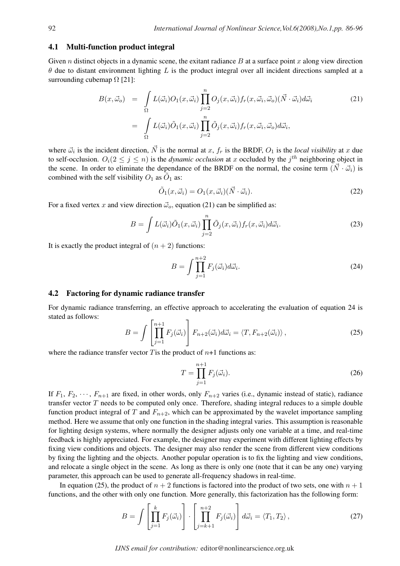### 4.1 Multi-function product integral

Given n distinct objects in a dynamic scene, the exitant radiance B at a surface point x along view direction  $\theta$  due to distant environment lighting L is the product integral over all incident directions sampled at a surrounding cubemap  $\Omega$  [21]:

$$
B(x, \vec{\omega}_o) = \int_{\Omega} L(\vec{\omega}_i) O_1(x, \vec{\omega}_i) \prod_{j=2}^n O_j(x, \vec{\omega}_i) f_r(x, \vec{\omega}_i, \vec{\omega}_o) (\vec{N} \cdot \vec{\omega}_i) d\vec{\omega}_i
$$
  

$$
= \int_{\Omega} L(\vec{\omega}_i) \tilde{O}_1(x, \vec{\omega}_i) \prod_{j=2}^n \tilde{O}_j(x, \vec{\omega}_i) f_r(x, \vec{\omega}_i, \vec{\omega}_o) d\vec{\omega}_i,
$$
 (21)

where  $\vec{\omega}_i$  is the incident direction,  $\vec{N}$  is the normal at x,  $f_r$  is the BRDF,  $O_1$  is the *local visibility* at x due to self-occlusion.  $O_i(2 \leq j \leq n)$  is the *dynamic occlusion* at x occluded by the  $j^{th}$  neighboring object in the scene. In order to eliminate the dependance of the BRDF on the normal, the cosine term  $(\vec{N} \cdot \vec{\omega}_i)$  is combined with the self visibility  $O_1$  as  $\tilde{O}_1$  as:

$$
\tilde{O}_1(x, \vec{\omega}_i) = O_1(x, \vec{\omega}_i)(\vec{N} \cdot \vec{\omega}_i). \tag{22}
$$

For a fixed vertex x and view direction  $\vec{\omega}_o$ , equation (21) can be simplified as:

$$
B = \int L(\vec{\omega}_i) \tilde{O}_1(x, \vec{\omega}_i) \prod_{j=2}^n \tilde{O}_j(x, \vec{\omega}_i) f_r(x, \vec{\omega}_i) d\vec{\omega}_i.
$$
 (23)

It is exactly the product integral of  $(n + 2)$  functions:

$$
B = \int \prod_{j=1}^{n+2} F_j(\vec{\omega}_i) d\vec{\omega}_i.
$$
 (24)

#### 4.2 Factoring for dynamic radiance transfer

For dynamic radiance transferring, an effective approach to accelerating the evaluation of equation 24 is stated as follows:  $\overline{r}$  $\overline{a}$ 

$$
B = \int \left[ \prod_{j=1}^{n+1} F_j(\vec{\omega}_i) \right] F_{n+2}(\vec{\omega}_i) d\vec{\omega}_i = \langle T, F_{n+2}(\vec{\omega}_i) \rangle , \qquad (25)
$$

where the radiance transfer vector T is the product of  $n+1$  functions as:

$$
T = \prod_{j=1}^{n+1} F_j(\vec{\omega}_i). \tag{26}
$$

If  $F_1, F_2, \dots, F_{n+1}$  are fixed, in other words, only  $F_{n+2}$  varies (i.e., dynamic instead of static), radiance transfer vector T needs to be computed only once. Therefore, shading integral reduces to a simple double function product integral of T and  $F_{n+2}$ , which can be approximated by the wavelet importance sampling method. Here we assume that only one function in the shading integral varies. This assumption is reasonable for lighting design systems, where normally the designer adjusts only one variable at a time, and real-time feedback is highly appreciated. For example, the designer may experiment with different lighting effects by fixing view conditions and objects. The designer may also render the scene from different view conditions by fixing the lighting and the objects. Another popular operation is to fix the lighting and view conditions, and relocate a single object in the scene. As long as there is only one (note that it can be any one) varying parameter, this approach can be used to generate all-frequency shadows in real-time.

In equation (25), the product of  $n + 2$  functions is factored into the product of two sets, one with  $n + 1$ functions, and the other with only one function. More generally, this factorization has the following form:

$$
B = \int \left[ \prod_{j=1}^{k} F_j(\vec{\omega}_i) \right] \cdot \left[ \prod_{j=k+1}^{n+2} F_j(\vec{\omega}_i) \right] d\vec{\omega}_i = \langle T_1, T_2 \rangle , \qquad (27)
$$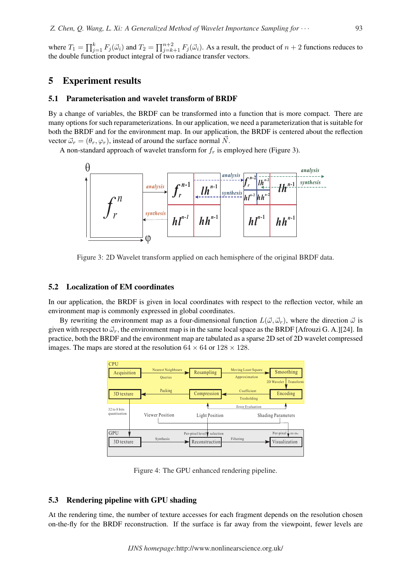where  $T_1 = \prod_{i=1}^{k}$  $_{j=1}^k F_j(\vec{\omega}_i)$  and  $T_2=$  $\Box$ <sup>n+2</sup>  $j=k+1 \ F_j(\vec{\omega}_i)$ . As a result, the product of  $n+2$  functions reduces to the double function product integral of two radiance transfer vectors.

### 5 Experiment results

#### 5.1 Parameterisation and wavelet transform of BRDF

By a change of variables, the BRDF can be transformed into a function that is more compact. There are many options for such reparameterizations. In our application, we need a parameterization that is suitable for both the BRDF and for the environment map. In our application, the BRDF is centered about the reflection vector  $\vec{\omega}_r = (\theta_r, \varphi_r)$ , instead of around the surface normal  $\vec{N}$ .

A non-standard approach of wavelet transform for  $f_r$  is employed here (Figure 3).



Figure 3: 2D Wavelet transform applied on each hemisphere of the original BRDF data.

### 5.2 Localization of EM coordinates

In our application, the BRDF is given in local coordinates with respect to the reflection vector, while an environment map is commonly expressed in global coordinates.

By rewriting the environment map as a four-dimensional function  $L(\vec{\omega}, \vec{\omega}_r)$ , where the direction  $\vec{\omega}$  is given with respect to  $\vec{\omega}_r$ , the environment map is in the same local space as the BRDF [Afrouzi G. A.][24]. In practice, both the BRDF and the environment map are tabulated as a sparse 2D set of 2D wavelet compressed images. The maps are stored at the resolution  $64 \times 64$  or  $128 \times 128$ .



Figure 4: The GPU enhanced rendering pipeline.

#### 5.3 Rendering pipeline with GPU shading

At the rendering time, the number of texture accesses for each fragment depends on the resolution chosen on-the-fly for the BRDF reconstruction. If the surface is far away from the viewpoint, fewer levels are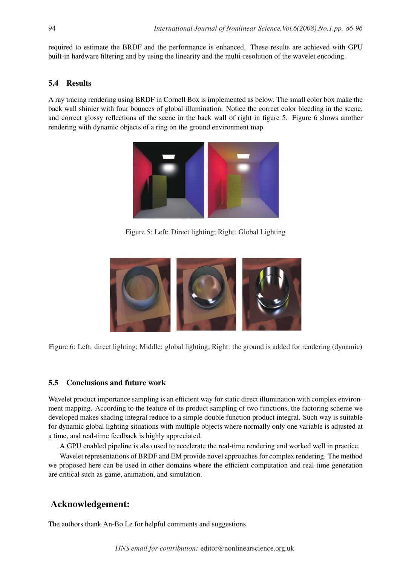required to estimate the BRDF and the performance is enhanced. These results are achieved with GPU built-in hardware filtering and by using the linearity and the multi-resolution of the wavelet encoding.

## 5.4 Results

A ray tracing rendering using BRDF in Cornell Box is implemented as below. The small color box make the back wall shinier with four bounces of global illumination. Notice the correct color bleeding in the scene, and correct glossy reflections of the scene in the back wall of right in figure 5. Figure 6 shows another rendering with dynamic objects of a ring on the ground environment map.



Figure 5: Left: Direct lighting; Right: Global Lighting



Figure 6: Left: direct lighting; Middle: global lighting; Right: the ground is added for rendering (dynamic)

### 5.5 Conclusions and future work

Wavelet product importance sampling is an efficient way for static direct illumination with complex environment mapping. According to the feature of its product sampling of two functions, the factoring scheme we developed makes shading integral reduce to a simple double function product integral. Such way is suitable for dynamic global lighting situations with multiple objects where normally only one variable is adjusted at a time, and real-time feedback is highly appreciated.

A GPU enabled pipeline is also used to accelerate the real-time rendering and worked well in practice.

Wavelet representations of BRDF and EM provide novel approaches for complex rendering. The method we proposed here can be used in other domains where the efficient computation and real-time generation are critical such as game, animation, and simulation.

# Acknowledgement:

The authors thank An-Bo Le for helpful comments and suggestions.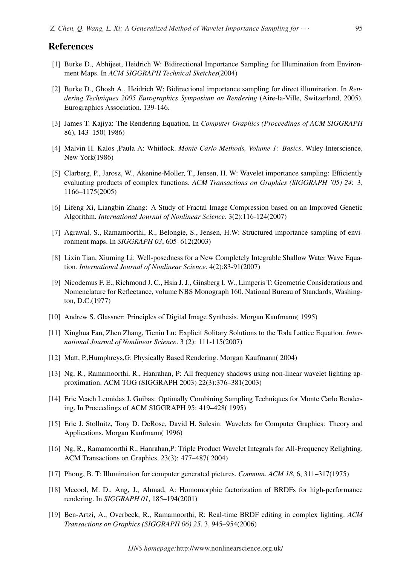### References

- [1] Burke D., Abhijeet, Heidrich W: Bidirectional Importance Sampling for Illumination from Environment Maps. In *ACM SIGGRAPH Technical Sketches*(2004)
- [2] Burke D., Ghosh A., Heidrich W: Bidirectional importance sampling for direct illumination. In *Rendering Techniques 2005 Eurographics Symposium on Rendering* (Aire-la-Ville, Switzerland, 2005), Eurographics Association. 139-146.
- [3] James T. Kajiya: The Rendering Equation. In *Computer Graphics (Proceedings of ACM SIGGRAPH* 86), 143–150( 1986)
- [4] Malvin H. Kalos ,Paula A: Whitlock. *Monte Carlo Methods, Volume 1: Basics*. Wiley-Interscience, New York(1986)
- [5] Clarberg, P., Jarosz, W., Akenine-Moller, T., Jensen, H. W: Wavelet importance sampling: Efficiently evaluating products of complex functions. *ACM Transactions on Graphics (SIGGRAPH '05) 24*: 3, 1166–1175(2005)
- [6] Lifeng Xi, Liangbin Zhang: A Study of Fractal Image Compression based on an Improved Genetic Algorithm. *International Journal of Nonlinear Science*. 3(2):116-124(2007)
- [7] Agrawal, S., Ramamoorthi, R., Belongie, S., Jensen, H.W: Structured importance sampling of environment maps. In *SIGGRAPH 03*, 605–612(2003)
- [8] Lixin Tian, Xiuming Li: Well-posedness for a New Completely Integrable Shallow Water Wave Equation*. International Journal of Nonlinear Science*. 4(2):83-91(2007)
- [9] Nicodemus F. E., Richmond J. C., Hsia J. J., Ginsberg I. W., Limperis T: Geometric Considerations and Nomenclature for Reflectance, volume NBS Monograph 160. National Bureau of Standards, Washington, D.C.(1977)
- [10] Andrew S. Glassner: Principles of Digital Image Synthesis. Morgan Kaufmann( 1995)
- [11] Xinghua Fan, Zhen Zhang, Tieniu Lu: Explicit Solitary Solutions to the Toda Lattice Equation*. International Journal of Nonlinear Science*. 3 (2): 111-115(2007)
- [12] Matt, P.,Humphreys,G: Physically Based Rendering. Morgan Kaufmann( 2004)
- [13] Ng, R., Ramamoorthi, R., Hanrahan, P: All frequency shadows using non-linear wavelet lighting approximation. ACM TOG (SIGGRAPH 2003) 22(3):376–381(2003)
- [14] Eric Veach Leonidas J. Guibas: Optimally Combining Sampling Techniques for Monte Carlo Rendering. In Proceedings of ACM SIGGRAPH 95: 419–428( 1995)
- [15] Eric J. Stollnitz, Tony D. DeRose, David H. Salesin: Wavelets for Computer Graphics: Theory and Applications. Morgan Kaufmann( 1996)
- [16] Ng, R., Ramamoorthi R., Hanrahan,P: Triple Product Wavelet Integrals for All-Frequency Relighting. ACM Transactions on Graphics, 23(3): 477–487( 2004)
- [17] Phong, B. T: Illumination for computer generated pictures. *Commun. ACM 18*, 6, 311–317(1975)
- [18] Mccool, M. D., Ang, J., Ahmad, A: Homomorphic factorization of BRDFs for high-performance rendering. In *SIGGRAPH 01*, 185–194(2001)
- [19] Ben-Artzi, A., Overbeck, R., Ramamoorthi, R: Real-time BRDF editing in complex lighting. *ACM Transactions on Graphics (SIGGRAPH 06) 25*, 3, 945–954(2006)